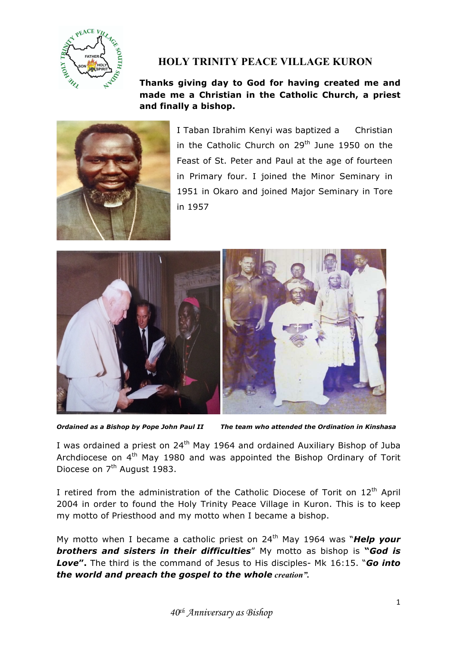

## **HOLY TRINITY PEACE VILLAGE KURON**

## **Thanks giving day to God for having created me and made me a Christian in the Catholic Church, a priest and finally a bishop.**



I Taban Ibrahim Kenyi was baptized a Christian in the Catholic Church on  $29<sup>th</sup>$  June 1950 on the Feast of St. Peter and Paul at the age of fourteen in Primary four. I joined the Minor Seminary in 1951 in Okaro and joined Major Seminary in Tore in 1957



*Ordained as a Bishop by Pope John Paul II The team who attended the Ordination in Kinshasa*

I was ordained a priest on  $24<sup>th</sup>$  May 1964 and ordained Auxiliary Bishop of Juba Archdiocese on  $4<sup>th</sup>$  May 1980 and was appointed the Bishop Ordinary of Torit Diocese on 7<sup>th</sup> August 1983.

I retired from the administration of the Catholic Diocese of Torit on 12<sup>th</sup> April 2004 in order to found the Holy Trinity Peace Village in Kuron. This is to keep my motto of Priesthood and my motto when I became a bishop.

My motto when I became a catholic priest on 24th May 1964 was "*Help your brothers and sisters in their difficulties*" My motto as bishop is **"***God is Love***".** The third is the command of Jesus to His disciples- Mk 16:15. "*Go into the world and preach the gospel to the whole creation".*